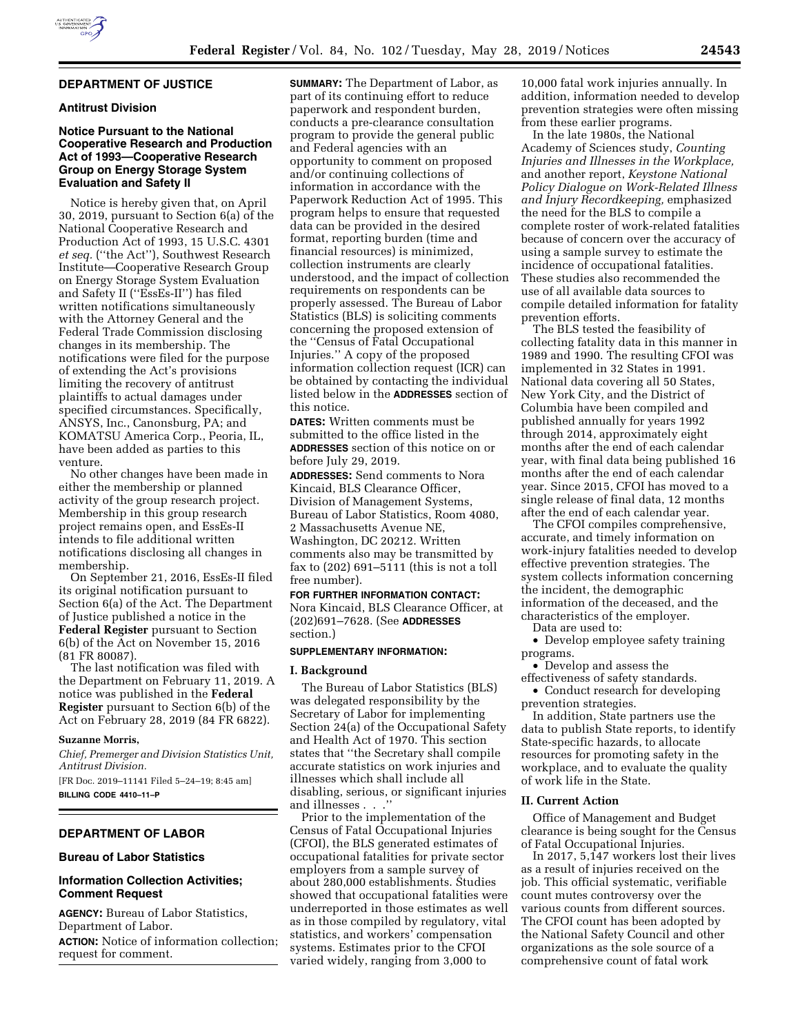### **DEPARTMENT OF JUSTICE**

# **Antitrust Division**

## **Notice Pursuant to the National Cooperative Research and Production Act of 1993—Cooperative Research Group on Energy Storage System Evaluation and Safety II**

Notice is hereby given that, on April 30, 2019, pursuant to Section 6(a) of the National Cooperative Research and Production Act of 1993, 15 U.S.C. 4301 *et seq.* (''the Act''), Southwest Research Institute—Cooperative Research Group on Energy Storage System Evaluation and Safety II (''EssEs-II'') has filed written notifications simultaneously with the Attorney General and the Federal Trade Commission disclosing changes in its membership. The notifications were filed for the purpose of extending the Act's provisions limiting the recovery of antitrust plaintiffs to actual damages under specified circumstances. Specifically, ANSYS, Inc., Canonsburg, PA; and KOMATSU America Corp., Peoria, IL, have been added as parties to this venture.

No other changes have been made in either the membership or planned activity of the group research project. Membership in this group research project remains open, and EssEs-II intends to file additional written notifications disclosing all changes in membership.

On September 21, 2016, EssEs-II filed its original notification pursuant to Section 6(a) of the Act. The Department of Justice published a notice in the **Federal Register** pursuant to Section 6(b) of the Act on November 15, 2016 (81 FR 80087).

The last notification was filed with the Department on February 11, 2019. A notice was published in the **Federal Register** pursuant to Section 6(b) of the Act on February 28, 2019 (84 FR 6822).

#### **Suzanne Morris,**

*Chief, Premerger and Division Statistics Unit, Antitrust Division.* 

[FR Doc. 2019–11141 Filed 5–24–19; 8:45 am] **BILLING CODE 4410–11–P** 

# **DEPARTMENT OF LABOR**

### **Bureau of Labor Statistics**

## **Information Collection Activities; Comment Request**

**AGENCY:** Bureau of Labor Statistics, Department of Labor. **ACTION:** Notice of information collection; request for comment.

**SUMMARY:** The Department of Labor, as part of its continuing effort to reduce paperwork and respondent burden, conducts a pre-clearance consultation program to provide the general public and Federal agencies with an opportunity to comment on proposed and/or continuing collections of information in accordance with the Paperwork Reduction Act of 1995. This program helps to ensure that requested data can be provided in the desired format, reporting burden (time and financial resources) is minimized, collection instruments are clearly understood, and the impact of collection requirements on respondents can be properly assessed. The Bureau of Labor Statistics (BLS) is soliciting comments concerning the proposed extension of the ''Census of Fatal Occupational Injuries.'' A copy of the proposed information collection request (ICR) can be obtained by contacting the individual listed below in the **ADDRESSES** section of this notice.

**DATES:** Written comments must be submitted to the office listed in the **ADDRESSES** section of this notice on or before July 29, 2019.

**ADDRESSES:** Send comments to Nora Kincaid, BLS Clearance Officer, Division of Management Systems, Bureau of Labor Statistics, Room 4080, 2 Massachusetts Avenue NE, Washington, DC 20212. Written comments also may be transmitted by fax to (202) 691–5111 (this is not a toll free number).

**FOR FURTHER INFORMATION CONTACT:**  Nora Kincaid, BLS Clearance Officer, at (202)691–7628. (See **ADDRESSES** section.)

#### **SUPPLEMENTARY INFORMATION:**

#### **I. Background**

The Bureau of Labor Statistics (BLS) was delegated responsibility by the Secretary of Labor for implementing Section 24(a) of the Occupational Safety and Health Act of 1970. This section states that ''the Secretary shall compile accurate statistics on work injuries and illnesses which shall include all disabling, serious, or significant injuries and illnesses . . ."

Prior to the implementation of the Census of Fatal Occupational Injuries (CFOI), the BLS generated estimates of occupational fatalities for private sector employers from a sample survey of about 280,000 establishments. Studies showed that occupational fatalities were underreported in those estimates as well as in those compiled by regulatory, vital statistics, and workers' compensation systems. Estimates prior to the CFOI varied widely, ranging from 3,000 to

10,000 fatal work injuries annually. In addition, information needed to develop prevention strategies were often missing from these earlier programs.

In the late 1980s, the National Academy of Sciences study, *Counting Injuries and Illnesses in the Workplace,*  and another report, *Keystone National Policy Dialogue on Work-Related Illness and Injury Recordkeeping,* emphasized the need for the BLS to compile a complete roster of work-related fatalities because of concern over the accuracy of using a sample survey to estimate the incidence of occupational fatalities. These studies also recommended the use of all available data sources to compile detailed information for fatality prevention efforts.

The BLS tested the feasibility of collecting fatality data in this manner in 1989 and 1990. The resulting CFOI was implemented in 32 States in 1991. National data covering all 50 States, New York City, and the District of Columbia have been compiled and published annually for years 1992 through 2014, approximately eight months after the end of each calendar year, with final data being published 16 months after the end of each calendar year. Since 2015, CFOI has moved to a single release of final data, 12 months after the end of each calendar year.

The CFOI compiles comprehensive, accurate, and timely information on work-injury fatalities needed to develop effective prevention strategies. The system collects information concerning the incident, the demographic information of the deceased, and the characteristics of the employer. Data are used to:

• Develop employee safety training programs.

• Develop and assess the effectiveness of safety standards.

• Conduct research for developing prevention strategies.

In addition, State partners use the data to publish State reports, to identify State-specific hazards, to allocate resources for promoting safety in the workplace, and to evaluate the quality of work life in the State.

### **II. Current Action**

Office of Management and Budget clearance is being sought for the Census of Fatal Occupational Injuries.

In 2017, 5,147 workers lost their lives as a result of injuries received on the job. This official systematic, verifiable count mutes controversy over the various counts from different sources. The CFOI count has been adopted by the National Safety Council and other organizations as the sole source of a comprehensive count of fatal work